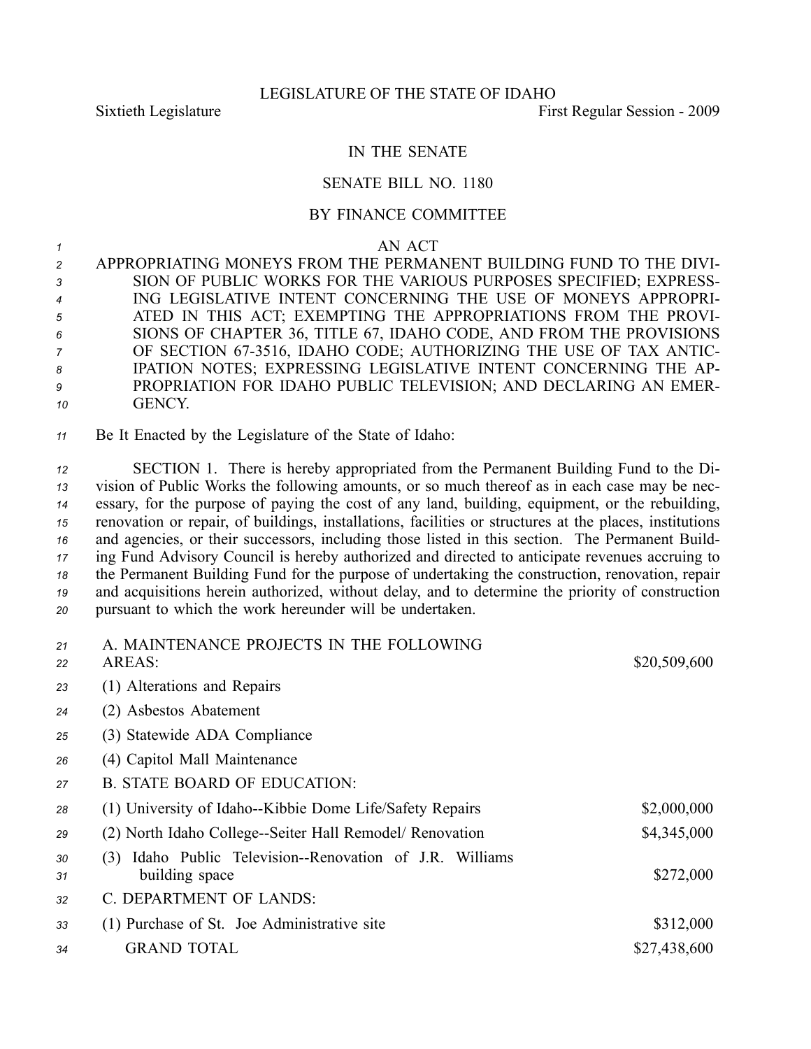## IN THE SENATE

## SENATE BILL NO. 1180

## BY FINANCE COMMITTEE

*1* AN ACT

 APPROPRIATING MONEYS FROM THE PERMANENT BUILDING FUND TO THE DIVI- SION OF PUBLIC WORKS FOR THE VARIOUS PURPOSES SPECIFIED; EXPRESS- ING LEGISLATIVE INTENT CONCERNING THE USE OF MONEYS APPROPRI- ATED IN THIS ACT; EXEMPTING THE APPROPRIATIONS FROM THE PROVI- SIONS OF CHAPTER 36, TITLE 67, IDAHO CODE, AND FROM THE PROVISIONS 7 OF SECTION 67-3516, IDAHO CODE; AUTHORIZING THE USE OF TAX ANTIC- IPATION NOTES; EXPRESSING LEGISLATIVE INTENT CONCERNING THE AP- PROPRIATION FOR IDAHO PUBLIC TELEVISION; AND DECLARING AN EMER-*10* GENCY.

*<sup>11</sup>* Be It Enacted by the Legislature of the State of Idaho:

 SECTION 1. There is hereby appropriated from the Permanent Building Fund to the Di- vision of Public Works the following amounts, or so much thereof as in each case may be nec- essary, for the purpose of paying the cost of any land, building, equipment, or the rebuilding, renovation or repair, of buildings, installations, facilities or structures at the places, institutions and agencies, or their successors, including those listed in this section. The Permanent Build- ing Fund Advisory Council is hereby authorized and directed to anticipate revenues accruing to the Permanent Building Fund for the purpose of undertaking the construction, renovation, repair and acquisitions herein authorized, without delay, and to determine the priority of construction pursuan<sup>t</sup> to which the work hereunder will be undertaken.

| 21<br>22 | A. MAINTENANCE PROJECTS IN THE FOLLOWING<br>AREAS:                            | \$20,509,600 |
|----------|-------------------------------------------------------------------------------|--------------|
| 23       | (1) Alterations and Repairs                                                   |              |
| 24       | (2) Asbestos Abatement                                                        |              |
| 25       | (3) Statewide ADA Compliance                                                  |              |
| 26       | (4) Capitol Mall Maintenance                                                  |              |
| 27       | <b>B. STATE BOARD OF EDUCATION:</b>                                           |              |
| 28       | (1) University of Idaho--Kibbie Dome Life/Safety Repairs                      | \$2,000,000  |
| 29       | (2) North Idaho College--Seiter Hall Remodel/ Renovation                      | \$4,345,000  |
| 30<br>31 | Idaho Public Television--Renovation of J.R. Williams<br>(3)<br>building space | \$272,000    |
| 32       | C. DEPARTMENT OF LANDS:                                                       |              |
| 33       | (1) Purchase of St. Joe Administrative site                                   | \$312,000    |
| 34       | <b>GRAND TOTAL</b>                                                            | \$27,438,600 |
|          |                                                                               |              |